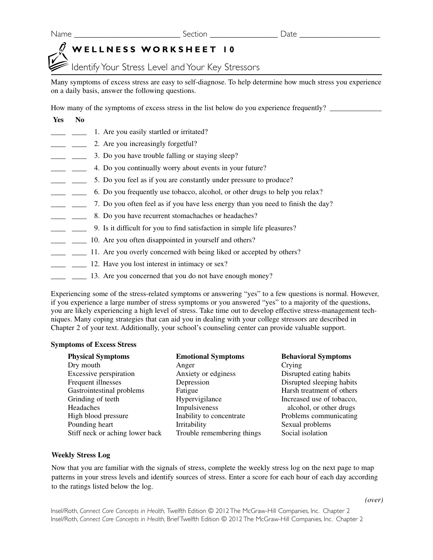Name \_\_\_\_\_\_\_\_\_\_\_\_\_\_\_\_\_\_\_\_\_\_\_\_\_ Section \_\_\_\_\_\_\_\_\_\_\_\_\_\_\_\_ Date \_\_\_\_\_\_\_\_\_\_\_\_\_\_\_\_\_\_\_

# **WELLNESS WORKSHEET 10**

Identify Your Stress Level and Your Key Stressors

Many symptoms of excess stress are easy to self-diagnose. To help determine how much stress you experience on a daily basis, answer the following questions.

How many of the symptoms of excess stress in the list below do you experience frequently?

#### **Yes No**

- <sup>1</sup>. Are you easily startled or irritated?
- <sup>2</sup>. Are you increasingly forgetful?
- 1. 2. 2. 2. Do you have trouble falling or staying sleep?
- \_\_\_\_ \_\_\_\_ 4. Do you continually worry about events in your future?
- $\Box$  5. Do you feel as if you are constantly under pressure to produce?
- \_\_\_\_ \_\_\_\_ 6. Do you frequently use tobacco, alcohol, or other drugs to help you relax?
- \_\_\_\_ \_\_\_\_ 7. Do you often feel as if you have less energy than you need to finish the day?
- <sup>2</sup> <sup>2</sup> <sup>2</sup> <sup>8</sup>. Do you have recurrent stomachaches or headaches?
- \_\_\_\_ \_\_\_\_ 9. Is it difficult for you to find satisfaction in simple life pleasures?
- <sup>10</sup> Letting 10. Are you often disappointed in yourself and others?
- <sup>11</sup>. Are you overly concerned with being liked or accepted by others?
- <sup>12</sup>. Have you lost interest in intimacy or sex?
- $\Box$   $\Box$  13. Are you concerned that you do not have enough money?

Experiencing some of the stress-related symptoms or answering "yes" to a few questions is normal. However, if you experience a large number of stress symptoms or you answered "yes" to a majority of the questions, you are likely experiencing a high level of stress. Take time out to develop effective stress-management techniques. Many coping strategies that can aid you in dealing with your college stressors are described in Chapter 2 of your text. Additionally, your school's counseling center can provide valuable support.

### **Symptoms of Excess Stress**

| <b>Physical Symptoms</b>        | <b>Emotional Symptoms</b>  | <b>Behavioral Symptoms</b> |
|---------------------------------|----------------------------|----------------------------|
| Dry mouth                       | Anger                      | Crying                     |
| Excessive perspiration          | Anxiety or edginess        | Disrupted eating habits    |
| Frequent illnesses              | Depression                 | Disrupted sleeping habits  |
| Gastrointestinal problems       | Fatigue                    | Harsh treatment of others  |
| Grinding of teeth               | Hypervigilance             | Increased use of tobacco,  |
| Headaches                       | Impulsiveness              | alcohol, or other drugs    |
| High blood pressure             | Inability to concentrate   | Problems communicating     |
| Pounding heart                  | Irritability               | Sexual problems            |
| Stiff neck or aching lower back | Trouble remembering things | Social isolation           |
|                                 |                            |                            |

### **Weekly Stress Log**

Now that you are familiar with the signals of stress, complete the weekly stress log on the next page to map patterns in your stress levels and identify sources of stress. Enter a score for each hour of each day according to the ratings listed below the log.

*(over)*

Insel/Roth, *Connect Core Concepts in Health,* Twelfth Edition © 2012 The McGraw-Hill Companies, Inc. Chapter 2 Insel/Roth, *Connect Core Concepts in Health,* Brief Twelfth Edition © 2012 The McGraw-Hill Companies, Inc. Chapter 2